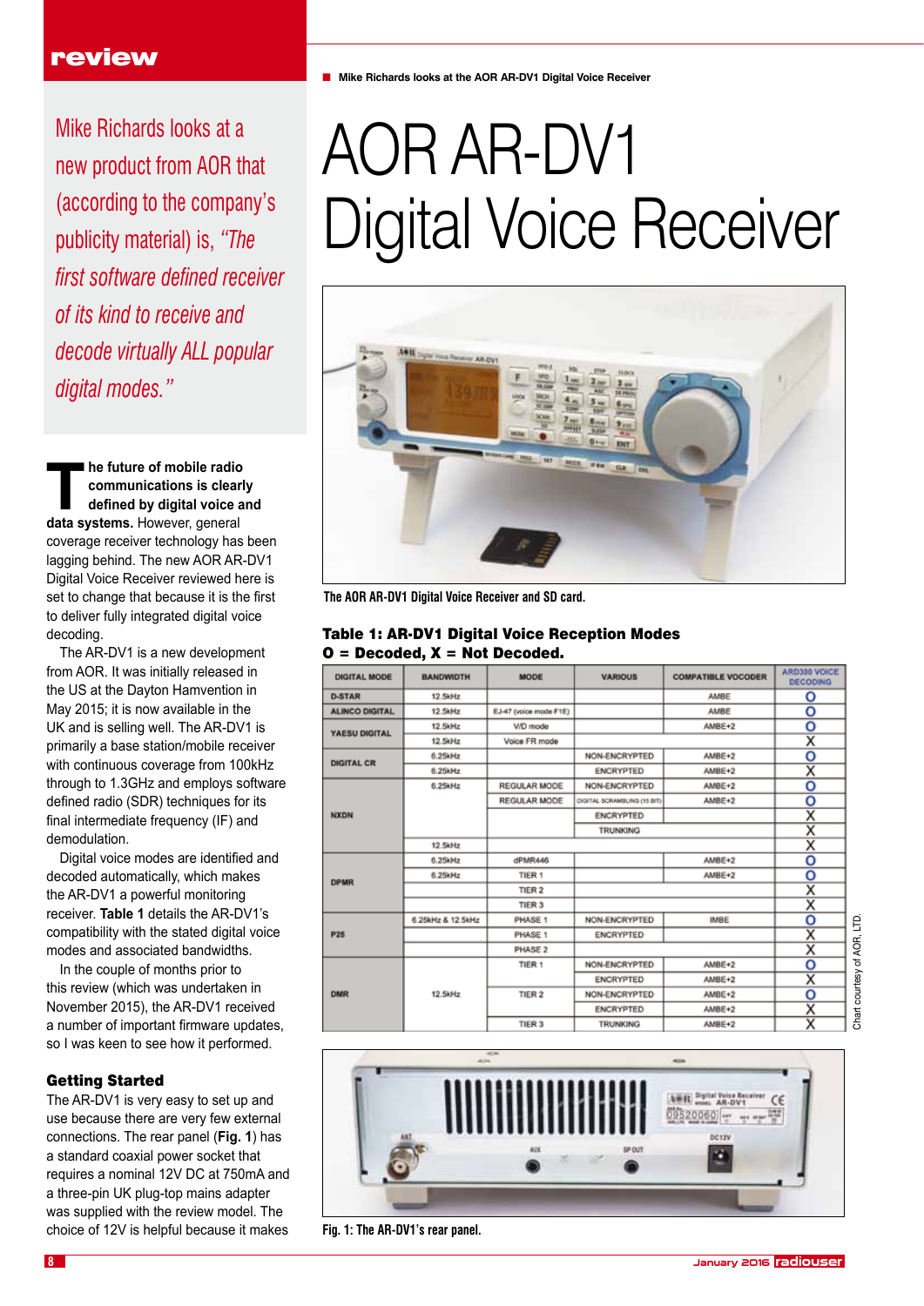Mike Richards looks at a new product from AOR that (according to the company's publicity material) is, *"The first software defined receiver of its kind to receive and decode virtually ALL popular digital modes."*

**The future of mobile radio**<br> **The future of mobile radio**<br> **The function of the contract of the contract of the contract of the contract of the contract of the contract of the contract of the contract of the contract of t communications is clearly defined by digital voice and data systems.** However, general coverage receiver technology has been lagging behind. The new AOR AR-DV1 Digital Voice Receiver reviewed here is set to change that because it is the first to deliver fully integrated digital voice decoding.

The AR-DV1 is a new development from AOR. It was initially released in the US at the Dayton Hamvention in May 2015; it is now available in the UK and is selling well. The AR-DV1 is primarily a base station/mobile receiver with continuous coverage from 100kHz through to 1.3GHz and employs software defined radio (SDR) techniques for its final intermediate frequency (IF) and demodulation.

Digital voice modes are identified and decoded automatically, which makes the AR-DV1 a powerful monitoring receiver. **Table 1** details the AR-DV1's compatibility with the stated digital voice modes and associated bandwidths.

In the couple of months prior to this review (which was undertaken in November 2015), the AR-DV1 received a number of important firmware updates, so I was keen to see how it performed.

# Getting Started

The AR-DV1 is very easy to set up and use because there are very few external connections. The rear panel (**Fig. 1**) has a standard coaxial power socket that requires a nominal 12V DC at 750mA and a three-pin UK plug-top mains adapter was supplied with the review model. The choice of 12V is helpful because it makes

■ Mike Richards looks at the AOR AR-DV1 Digital Voice Receiver

# AOR AR-DV1 Digital Voice Receiver



**The AOR AR-DV1 Digital Voice Receiver and SD card.**

#### Table 1: AR-DV1 Digital Voice Reception Modes  $O = Decoded$ .  $X = Not Decoded$ .

| <b>DIGITAL MODE</b>   | <b>BANDWIDTH</b>  | <b>MODE</b>            | <b>VARIOUS</b>              | <b>COMPATIBLE VOCODER</b> | ARD300 VOICE<br><b>DECODING</b> |
|-----------------------|-------------------|------------------------|-----------------------------|---------------------------|---------------------------------|
| <b>D-STAR</b>         | 12.5kHz           |                        |                             | AMBE                      | o                               |
| <b>ALINCO DIGITAL</b> | 12.5kHz           | EJ-47 (voice mode F1E) |                             | AMBE                      | о                               |
| YAESU DIGITAL         | 12.5kHz           | V/D mode               |                             | AMBE+2                    | о                               |
|                       | 12.5kHz           | Voice FR mode          |                             |                           | x                               |
| <b>DIGITAL CR</b>     | 6.25kHz           |                        | NON-ENCRYPTED               | AMBE+2                    | о                               |
|                       | 6.25kHz           |                        | <b>ENCRYPTED</b>            | AMBE+2                    | $\overline{\mathsf{x}}$         |
| <b>NXDN</b>           | 6.25kHz           | REGULAR MODE           | NON-ENCRYPTED               | AMBE+2                    | o                               |
|                       |                   | REGULAR MODE           | DIGITAL SCRAMBLING (15 BIT) | AMBE+2                    | о                               |
|                       |                   |                        | <b>ENCRYPTED</b>            |                           | $\overline{\mathsf{x}}$         |
|                       |                   |                        | <b>TRUNKING</b>             |                           | $\overline{\mathsf{x}}$         |
|                       | 12.5kHz           |                        |                             |                           | х                               |
| <b>DPMR</b>           | 6.25kHz           | dPMR446                |                             | AMBE+2                    | о                               |
|                       | 6.25kHz           | TIER <sub>1</sub>      |                             | AMBE+2                    | о                               |
|                       |                   | TIER <sub>2</sub>      |                             |                           | X                               |
|                       |                   | TIER <sub>3</sub>      |                             |                           | $\overline{\mathsf{x}}$         |
| P25                   | 6.25kHz & 12.5kHz | PHASE 1                | NON-ENCRYPTED               | IMBE                      | о                               |
|                       |                   | PHASE 1                | <b>ENCRYPTED</b>            |                           | $\overline{\mathsf{x}}$         |
|                       |                   | PHASE 2                |                             |                           | $\overline{\mathsf{x}}$         |
| <b>DMR</b>            |                   | TIER 1                 | NON-ENCRYPTED               | AMBE+2                    | о                               |
|                       |                   |                        | <b>ENCRYPTED</b>            | AMBE+2                    | $\overline{\textsf{x}}$         |
|                       | 12.5kHz           | TIER <sub>2</sub>      | NON-ENCRYPTED               | AMBE+2                    | o                               |
|                       |                   |                        | <b>ENCRYPTED</b>            | AMBE+2                    | $\overline{\mathsf{x}}$         |
|                       |                   | TIER <sub>3</sub>      | <b>TRUNKING</b>             | AMBE+2                    | $\overline{\mathsf{x}}$         |



**Fig. 1: The AR-DV1's rear panel.**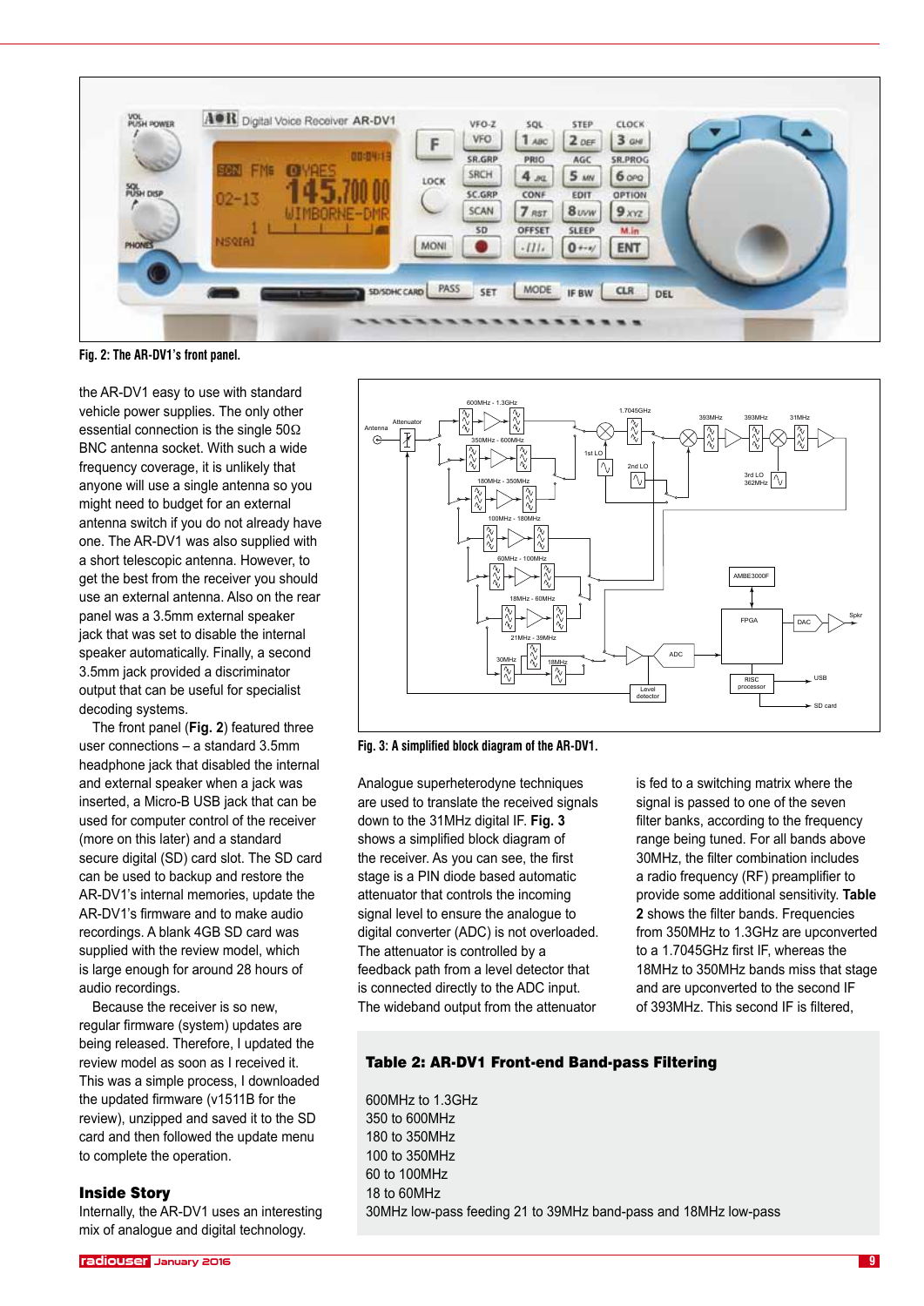

**Fig. 2: The AR-DV1's front panel.**

the AR-DV1 easy to use with standard vehicle power supplies. The only other essential connection is the single 50Ω BNC antenna socket. With such a wide frequency coverage, it is unlikely that anyone will use a single antenna so you might need to budget for an external antenna switch if you do not already have one. The AR-DV1 was also supplied with a short telescopic antenna. However, to get the best from the receiver you should use an external antenna. Also on the rear panel was a 3.5mm external speaker jack that was set to disable the internal speaker automatically. Finally, a second 3.5mm jack provided a discriminator output that can be useful for specialist decoding systems.

The front panel (**Fig. 2**) featured three user connections – a standard 3.5mm headphone jack that disabled the internal and external speaker when a jack was inserted, a Micro-B USB jack that can be used for computer control of the receiver (more on this later) and a standard secure digital (SD) card slot. The SD card can be used to backup and restore the AR-DV1's internal memories, update the AR-DV1's firmware and to make audio recordings. A blank 4GB SD card was supplied with the review model, which is large enough for around 28 hours of audio recordings.

Because the receiver is so new, regular firmware (system) updates are being released. Therefore, I updated the review model as soon as I received it. This was a simple process, I downloaded the updated firmware (v1511B for the review), unzipped and saved it to the SD card and then followed the update menu to complete the operation.

#### Inside Story

Internally, the AR-DV1 uses an interesting mix of analogue and digital technology.



**Fig. 3: A simplified block diagram of the AR-DV1.**

Analogue superheterodyne techniques are used to translate the received signals down to the 31MHz digital IF. **Fig. 3**  shows a simplified block diagram of the receiver. As you can see, the first stage is a PIN diode based automatic attenuator that controls the incoming signal level to ensure the analogue to digital converter (ADC) is not overloaded. The attenuator is controlled by a feedback path from a level detector that is connected directly to the ADC input. The wideband output from the attenuator

is fed to a switching matrix where the signal is passed to one of the seven filter banks, according to the frequency range being tuned. For all bands above 30MHz, the filter combination includes a radio frequency (RF) preamplifier to provide some additional sensitivity. **Table 2** shows the filter bands. Frequencies from 350MHz to 1.3GHz are upconverted to a 1.7045GHz first IF, whereas the 18MHz to 350MHz bands miss that stage and are upconverted to the second IF of 393MHz. This second IF is filtered,

## Table 2: AR-DV1 Front-end Band-pass Filtering

600MHz to 1.3GHz 350 to 600MHz 180 to 350MHz 100 to 350MHz 60 to 100MHz 18 to 60MHz 30MHz low-pass feeding 21 to 39MHz band-pass and 18MHz low-pass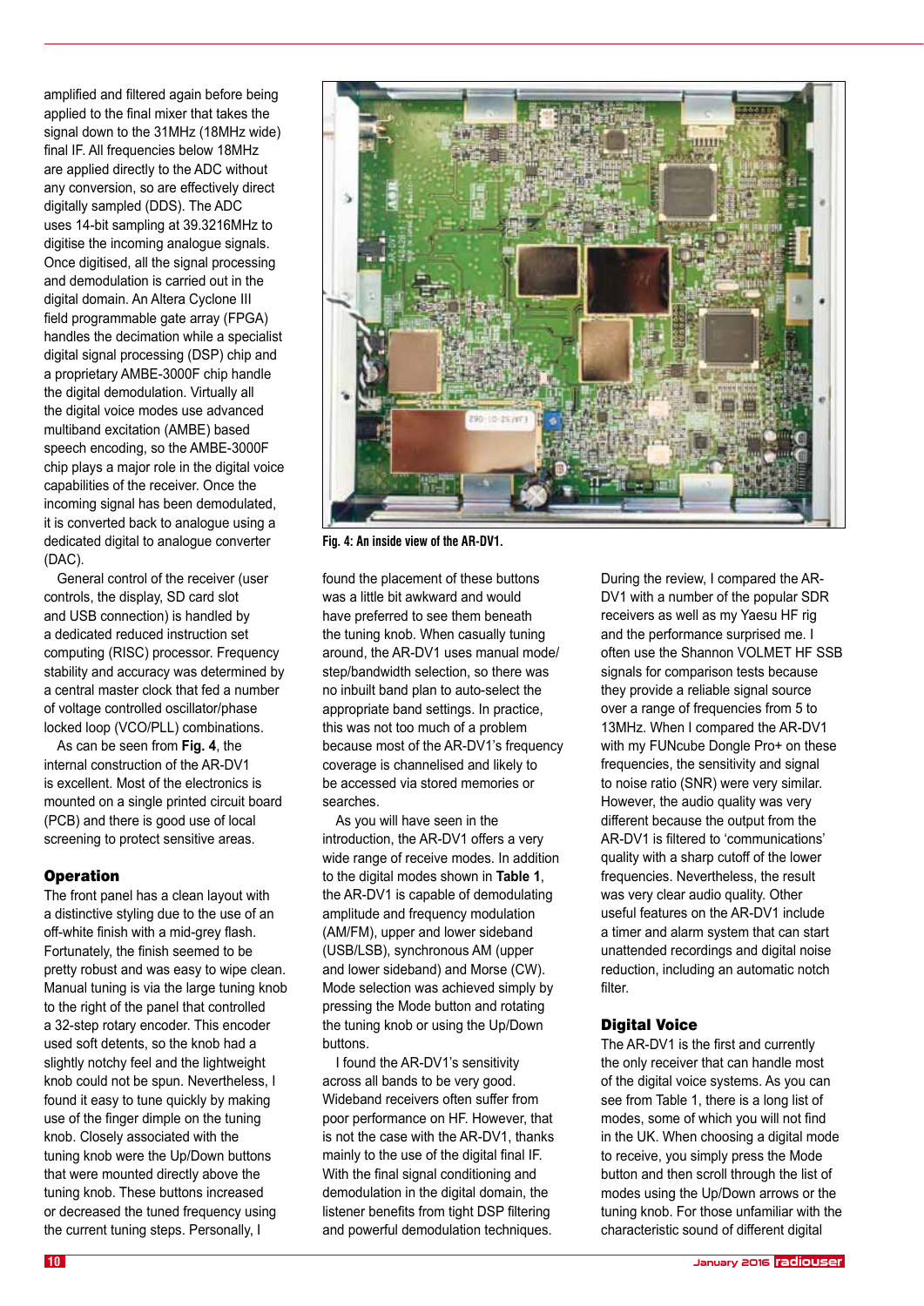amplified and filtered again before being applied to the final mixer that takes the signal down to the 31MHz (18MHz wide) final IF. All frequencies below 18MHz are applied directly to the ADC without any conversion, so are effectively direct digitally sampled (DDS). The ADC uses 14-bit sampling at 39.3216MHz to digitise the incoming analogue signals. Once digitised, all the signal processing and demodulation is carried out in the digital domain. An Altera Cyclone III field programmable gate array (FPGA) handles the decimation while a specialist digital signal processing (DSP) chip and a proprietary AMBE-3000F chip handle the digital demodulation. Virtually all the digital voice modes use advanced multiband excitation (AMBE) based speech encoding, so the AMBE-3000F chip plays a major role in the digital voice capabilities of the receiver. Once the incoming signal has been demodulated, it is converted back to analogue using a dedicated digital to analogue converter (DAC).

General control of the receiver (user controls, the display, SD card slot and USB connection) is handled by a dedicated reduced instruction set computing (RISC) processor. Frequency stability and accuracy was determined by a central master clock that fed a number of voltage controlled oscillator/phase locked loop (VCO/PLL) combinations.

As can be seen from **Fig. 4**, the internal construction of the AR-DV1 is excellent. Most of the electronics is mounted on a single printed circuit board (PCB) and there is good use of local screening to protect sensitive areas.

# **Operation**

The front panel has a clean layout with a distinctive styling due to the use of an off-white finish with a mid-grey flash. Fortunately, the finish seemed to be pretty robust and was easy to wipe clean. Manual tuning is via the large tuning knob to the right of the panel that controlled a 32-step rotary encoder. This encoder used soft detents, so the knob had a slightly notchy feel and the lightweight knob could not be spun. Nevertheless, I found it easy to tune quickly by making use of the finger dimple on the tuning knob. Closely associated with the tuning knob were the Up/Down buttons that were mounted directly above the tuning knob. These buttons increased or decreased the tuned frequency using the current tuning steps. Personally, I



**Fig. 4: An inside view of the AR-DV1.**

found the placement of these buttons was a little bit awkward and would have preferred to see them beneath the tuning knob. When casually tuning around, the AR-DV1 uses manual mode/ step/bandwidth selection, so there was no inbuilt band plan to auto-select the appropriate band settings. In practice, this was not too much of a problem because most of the AR-DV1's frequency coverage is channelised and likely to be accessed via stored memories or searches.

As you will have seen in the introduction, the AR-DV1 offers a very wide range of receive modes. In addition to the digital modes shown in **Table 1**, the AR-DV1 is capable of demodulating amplitude and frequency modulation (AM/FM), upper and lower sideband (USB/LSB), synchronous AM (upper and lower sideband) and Morse (CW). Mode selection was achieved simply by pressing the Mode button and rotating the tuning knob or using the Up/Down buttons.

I found the AR-DV1's sensitivity across all bands to be very good. Wideband receivers often suffer from poor performance on HF. However, that is not the case with the AR-DV1, thanks mainly to the use of the digital final IF. With the final signal conditioning and demodulation in the digital domain, the listener benefits from tight DSP filtering and powerful demodulation techniques.

During the review, I compared the AR-DV1 with a number of the popular SDR receivers as well as my Yaesu HF rig and the performance surprised me. I often use the Shannon VOLMET HF SSB signals for comparison tests because they provide a reliable signal source over a range of frequencies from 5 to 13MHz. When I compared the AR-DV1 with my FUNcube Dongle Pro+ on these frequencies, the sensitivity and signal to noise ratio (SNR) were very similar. However, the audio quality was very different because the output from the AR-DV1 is filtered to 'communications' quality with a sharp cutoff of the lower frequencies. Nevertheless, the result was very clear audio quality. Other useful features on the AR-DV1 include a timer and alarm system that can start unattended recordings and digital noise reduction, including an automatic notch filter.

# Digital Voice

The AR-DV1 is the first and currently the only receiver that can handle most of the digital voice systems. As you can see from Table 1, there is a long list of modes, some of which you will not find in the UK. When choosing a digital mode to receive, you simply press the Mode button and then scroll through the list of modes using the Up/Down arrows or the tuning knob. For those unfamiliar with the characteristic sound of different digital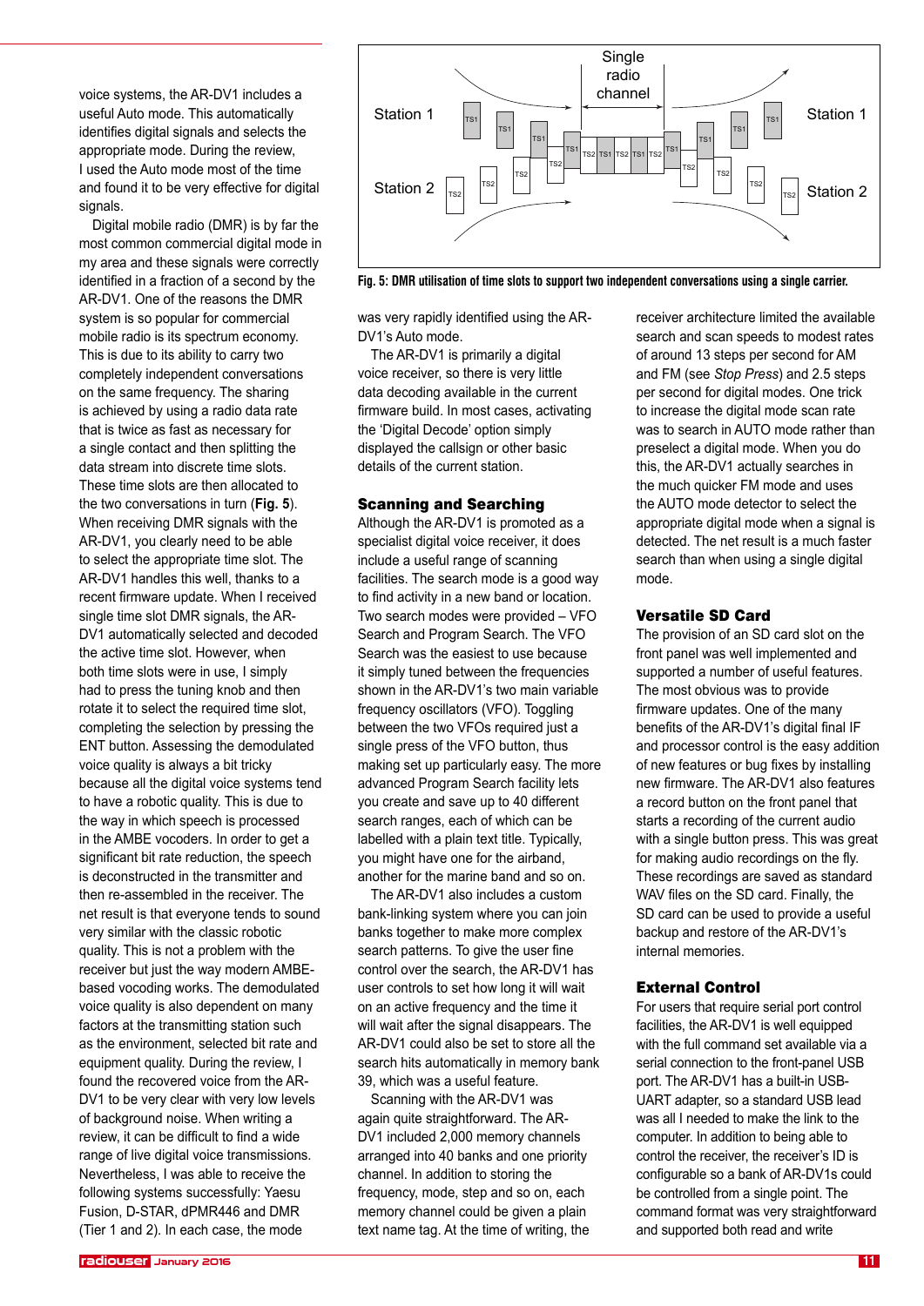voice systems, the AR-DV1 includes a useful Auto mode. This automatically identifies digital signals and selects the appropriate mode. During the review, I used the Auto mode most of the time and found it to be very effective for digital signals.

Digital mobile radio (DMR) is by far the most common commercial digital mode in my area and these signals were correctly identified in a fraction of a second by the AR-DV1. One of the reasons the DMR system is so popular for commercial mobile radio is its spectrum economy. This is due to its ability to carry two completely independent conversations on the same frequency. The sharing is achieved by using a radio data rate that is twice as fast as necessary for a single contact and then splitting the data stream into discrete time slots. These time slots are then allocated to the two conversations in turn (**Fig. 5**). When receiving DMR signals with the AR-DV1, you clearly need to be able to select the appropriate time slot. The AR-DV1 handles this well, thanks to a recent firmware update. When I received single time slot DMR signals, the AR-DV1 automatically selected and decoded the active time slot. However, when both time slots were in use, I simply had to press the tuning knob and then rotate it to select the required time slot, completing the selection by pressing the ENT button. Assessing the demodulated voice quality is always a bit tricky because all the digital voice systems tend to have a robotic quality. This is due to the way in which speech is processed in the AMBE vocoders. In order to get a significant bit rate reduction, the speech is deconstructed in the transmitter and then re-assembled in the receiver. The net result is that everyone tends to sound very similar with the classic robotic quality. This is not a problem with the receiver but just the way modern AMBEbased vocoding works. The demodulated voice quality is also dependent on many factors at the transmitting station such as the environment, selected bit rate and equipment quality. During the review, I found the recovered voice from the AR-DV1 to be very clear with very low levels of background noise. When writing a review, it can be difficult to find a wide range of live digital voice transmissions. Nevertheless, I was able to receive the following systems successfully: Yaesu Fusion, D-STAR, dPMR446 and DMR (Tier 1 and 2). In each case, the mode



**Fig. 5: DMR utilisation of time slots to support two independent conversations using a single carrier.**

was very rapidly identified using the AR-DV1's Auto mode.

The AR-DV1 is primarily a digital voice receiver, so there is very little data decoding available in the current firmware build. In most cases, activating the 'Digital Decode' option simply displayed the callsign or other basic details of the current station.

#### Scanning and Searching

Although the AR-DV1 is promoted as a specialist digital voice receiver, it does include a useful range of scanning facilities. The search mode is a good way to find activity in a new band or location. Two search modes were provided – VFO Search and Program Search. The VFO Search was the easiest to use because it simply tuned between the frequencies shown in the AR-DV1's two main variable frequency oscillators (VFO). Toggling between the two VFOs required just a single press of the VFO button, thus making set up particularly easy. The more advanced Program Search facility lets you create and save up to 40 different search ranges, each of which can be labelled with a plain text title. Typically, you might have one for the airband, another for the marine band and so on.

The AR-DV1 also includes a custom bank-linking system where you can join banks together to make more complex search patterns. To give the user fine control over the search, the AR-DV1 has user controls to set how long it will wait on an active frequency and the time it will wait after the signal disappears. The AR-DV1 could also be set to store all the search hits automatically in memory bank 39, which was a useful feature.

Scanning with the AR-DV1 was again quite straightforward. The AR-DV1 included 2,000 memory channels arranged into 40 banks and one priority channel. In addition to storing the frequency, mode, step and so on, each memory channel could be given a plain text name tag. At the time of writing, the

receiver architecture limited the available search and scan speeds to modest rates of around 13 steps per second for AM and FM (see *Stop Press*) and 2.5 steps per second for digital modes. One trick to increase the digital mode scan rate was to search in AUTO mode rather than preselect a digital mode. When you do this, the AR-DV1 actually searches in the much quicker FM mode and uses the AUTO mode detector to select the appropriate digital mode when a signal is detected. The net result is a much faster search than when using a single digital mode.

### Versatile SD Card

The provision of an SD card slot on the front panel was well implemented and supported a number of useful features. The most obvious was to provide firmware updates. One of the many benefits of the AR-DV1's digital final IF and processor control is the easy addition of new features or bug fixes by installing new firmware. The AR-DV1 also features a record button on the front panel that starts a recording of the current audio with a single button press. This was great for making audio recordings on the fly. These recordings are saved as standard WAV files on the SD card. Finally, the SD card can be used to provide a useful backup and restore of the AR-DV1's internal memories.

#### External Control

For users that require serial port control facilities, the AR-DV1 is well equipped with the full command set available via a serial connection to the front-panel USB port. The AR-DV1 has a built-in USB-UART adapter, so a standard USB lead was all I needed to make the link to the computer. In addition to being able to control the receiver, the receiver's ID is configurable so a bank of AR-DV1s could be controlled from a single point. The command format was very straightforward and supported both read and write